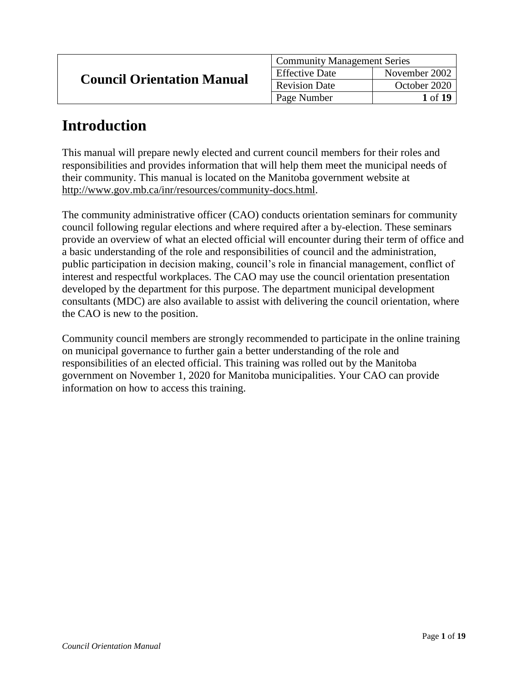| <b>Council Orientation Manual</b> | <b>Community Management Series</b> |                       |
|-----------------------------------|------------------------------------|-----------------------|
|                                   | <b>Effective Date</b>              | November 2002         |
|                                   | <b>Revision Date</b>               | October 2020          |
|                                   | Page Number                        | <b>1</b> of <b>19</b> |

# **Introduction**

This manual will prepare newly elected and current council members for their roles and responsibilities and provides information that will help them meet the municipal needs of their community. This manual is located on the Manitoba government website at http://www.gov.mb.ca/inr/resources/community-docs.html.

The community administrative officer (CAO) conducts orientation seminars for community council following regular elections and where required after a by-election. These seminars provide an overview of what an elected official will encounter during their term of office and a basic understanding of the role and responsibilities of council and the administration, public participation in decision making, council's role in financial management, conflict of interest and respectful workplaces. The CAO may use the council orientation presentation developed by the department for this purpose. The department municipal development consultants (MDC) are also available to assist with delivering the council orientation, where the CAO is new to the position.

Community council members are strongly recommended to participate in the online training on municipal governance to further gain a better understanding of the role and responsibilities of an elected official. This training was rolled out by the Manitoba government on November 1, 2020 for Manitoba municipalities. Your CAO can provide information on how to access this training.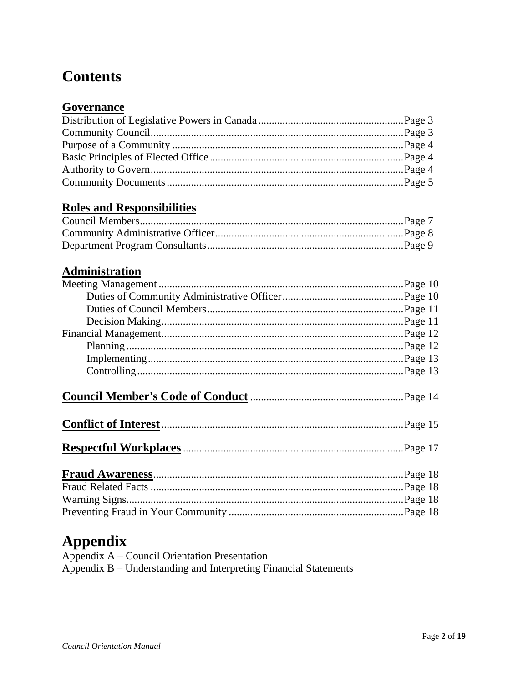# **Contents**

## Governance

## **Roles and Responsibilities**

## **Administration**

# **Appendix**

| Appendix A – Council Orientation Presentation                    |
|------------------------------------------------------------------|
| Appendix B – Understanding and Interpreting Financial Statements |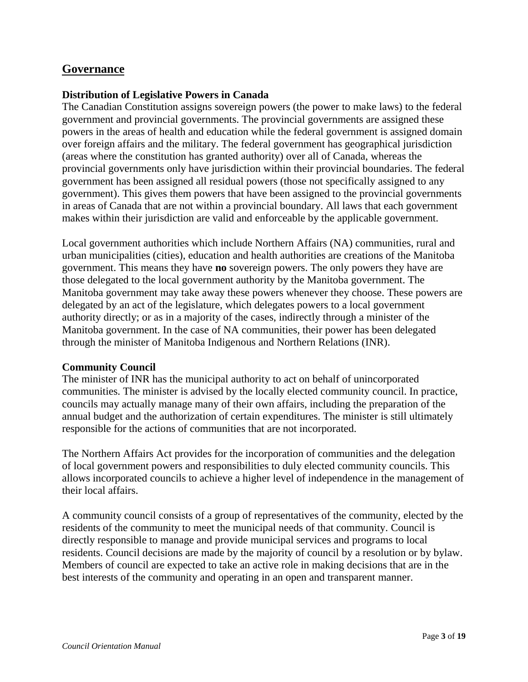## **Governance**

#### **Distribution of Legislative Powers in Canada**

The Canadian Constitution assigns sovereign powers (the power to make laws) to the federal government and provincial governments. The provincial governments are assigned these powers in the areas of health and education while the federal government is assigned domain over foreign affairs and the military. The federal government has geographical jurisdiction (areas where the constitution has granted authority) over all of Canada, whereas the provincial governments only have jurisdiction within their provincial boundaries. The federal government has been assigned all residual powers (those not specifically assigned to any government). This gives them powers that have been assigned to the provincial governments in areas of Canada that are not within a provincial boundary. All laws that each government makes within their jurisdiction are valid and enforceable by the applicable government.

Local government authorities which include Northern Affairs (NA) communities, rural and urban municipalities (cities), education and health authorities are creations of the Manitoba government. This means they have **no** sovereign powers. The only powers they have are those delegated to the local government authority by the Manitoba government. The Manitoba government may take away these powers whenever they choose. These powers are delegated by an act of the legislature, which delegates powers to a local government authority directly; or as in a majority of the cases, indirectly through a minister of the Manitoba government. In the case of NA communities, their power has been delegated through the minister of Manitoba Indigenous and Northern Relations (INR).

#### **Community Council**

The minister of INR has the municipal authority to act on behalf of unincorporated communities. The minister is advised by the locally elected community council. In practice, councils may actually manage many of their own affairs, including the preparation of the annual budget and the authorization of certain expenditures. The minister is still ultimately responsible for the actions of communities that are not incorporated.

The Northern Affairs Act provides for the incorporation of communities and the delegation of local government powers and responsibilities to duly elected community councils. This allows incorporated councils to achieve a higher level of independence in the management of their local affairs.

A community council consists of a group of representatives of the community, elected by the residents of the community to meet the municipal needs of that community. Council is directly responsible to manage and provide municipal services and programs to local residents. Council decisions are made by the majority of council by a resolution or by bylaw. Members of council are expected to take an active role in making decisions that are in the best interests of the community and operating in an open and transparent manner.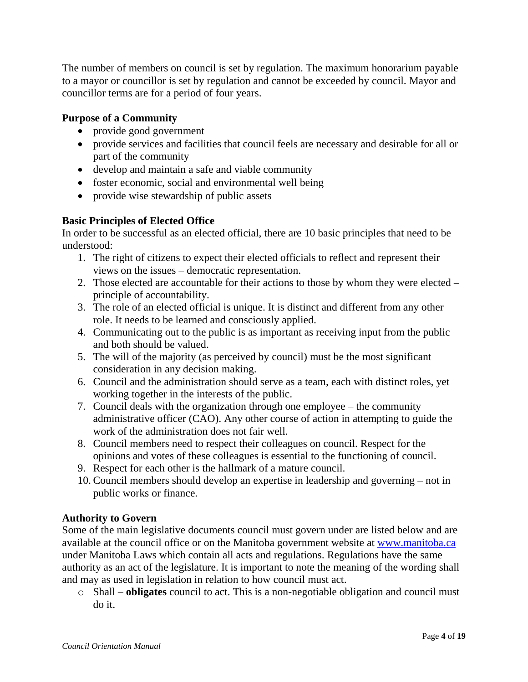The number of members on council is set by regulation. The maximum honorarium payable to a mayor or councillor is set by regulation and cannot be exceeded by council. Mayor and councillor terms are for a period of four years.

#### **Purpose of a Community**

- provide good government
- provide services and facilities that council feels are necessary and desirable for all or part of the community
- develop and maintain a safe and viable community
- foster economic, social and environmental well being
- provide wise stewardship of public assets

#### **Basic Principles of Elected Office**

In order to be successful as an elected official, there are 10 basic principles that need to be understood:

- 1. The right of citizens to expect their elected officials to reflect and represent their views on the issues – democratic representation.
- 2. Those elected are accountable for their actions to those by whom they were elected principle of accountability.
- 3. The role of an elected official is unique. It is distinct and different from any other role. It needs to be learned and consciously applied.
- 4. Communicating out to the public is as important as receiving input from the public and both should be valued.
- 5. The will of the majority (as perceived by council) must be the most significant consideration in any decision making.
- 6. Council and the administration should serve as a team, each with distinct roles, yet working together in the interests of the public.
- 7. Council deals with the organization through one employee the community administrative officer (CAO). Any other course of action in attempting to guide the work of the administration does not fair well.
- 8. Council members need to respect their colleagues on council. Respect for the opinions and votes of these colleagues is essential to the functioning of council.
- 9. Respect for each other is the hallmark of a mature council.
- 10. Council members should develop an expertise in leadership and governing not in public works or finance.

### **Authority to Govern**

Some of the main legislative documents council must govern under are listed below and are available at the council office or on the Manitoba government website at [www.manitoba.ca](https://www.manitoba.ca/) under Manitoba Laws which contain all acts and regulations. Regulations have the same authority as an act of the legislature. It is important to note the meaning of the wording shall and may as used in legislation in relation to how council must act.

o Shall – **obligates** council to act. This is a non-negotiable obligation and council must do it.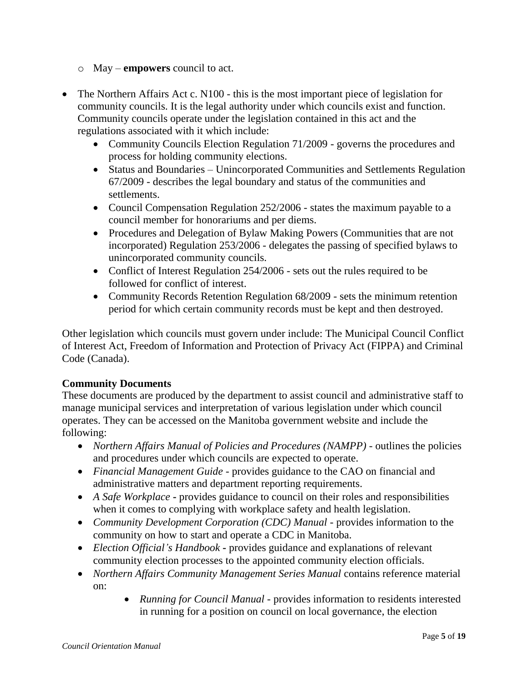- o May **empowers** council to act.
- The Northern Affairs Act c. N100 this is the most important piece of legislation for community councils. It is the legal authority under which councils exist and function. Community councils operate under the legislation contained in this act and the regulations associated with it which include:
	- Community Councils Election Regulation 71/2009 governs the procedures and process for holding community elections.
	- Status and Boundaries Unincorporated Communities and Settlements Regulation 67/2009 - describes the legal boundary and status of the communities and settlements.
	- Council Compensation Regulation 252/2006 states the maximum payable to a council member for honorariums and per diems.
	- Procedures and Delegation of Bylaw Making Powers (Communities that are not incorporated) Regulation 253/2006 - delegates the passing of specified bylaws to unincorporated community councils.
	- Conflict of Interest Regulation 254/2006 sets out the rules required to be followed for conflict of interest.
	- Community Records Retention Regulation 68/2009 sets the minimum retention period for which certain community records must be kept and then destroyed.

Other legislation which councils must govern under include: The Municipal Council Conflict of Interest Act, Freedom of Information and Protection of Privacy Act (FIPPA) and Criminal Code (Canada).

#### **Community Documents**

These documents are produced by the department to assist council and administrative staff to manage municipal services and interpretation of various legislation under which council operates. They can be accessed on the Manitoba government website and include the following:

- *Northern Affairs Manual of Policies and Procedures (NAMPP)* outlines the policies and procedures under which councils are expected to operate.
- *Financial Management Guide* provides guidance to the CAO on financial and administrative matters and department reporting requirements.
- *A Safe Workplace* **-** provides guidance to council on their roles and responsibilities when it comes to complying with workplace safety and health legislation.
- *Community Development Corporation (CDC) Manual* provides information to the community on how to start and operate a CDC in Manitoba.
- *Election Official's Handbook* **-** provides guidance and explanations of relevant community election processes to the appointed community election officials.
- *Northern Affairs Community Management Series Manual* contains reference material on:
	- *Running for Council Manual* provides information to residents interested in running for a position on council on local governance, the election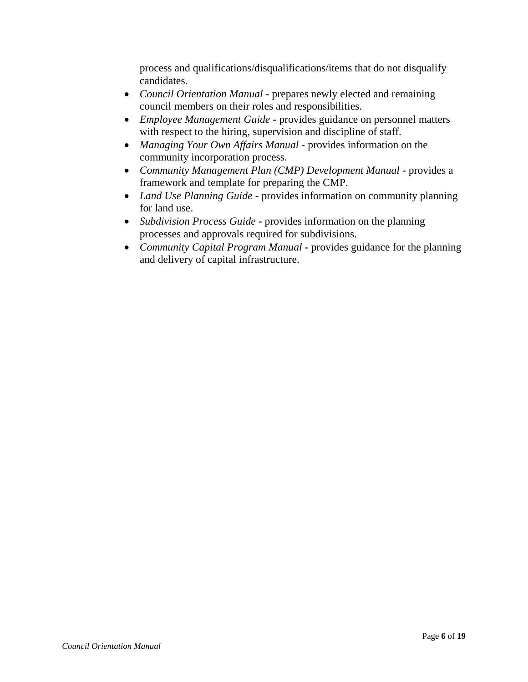process and qualifications/disqualifications/items that do not disqualify candidates.

- *Council Orientation Manual* **-** prepares newly elected and remaining council members on their roles and responsibilities.
- *Employee Management Guide* **-** provides guidance on personnel matters with respect to the hiring, supervision and discipline of staff.
- *Managing Your Own Affairs Manual* provides information on the community incorporation process.
- *Community Management Plan (CMP) Development Manual* **-** provides a framework and template for preparing the CMP.
- *Land Use Planning Guide* provides information on community planning for land use.
- *Subdivision Process Guide* **-** provides information on the planning processes and approvals required for subdivisions.
- *Community Capital Program Manual* **-** provides guidance for the planning and delivery of capital infrastructure.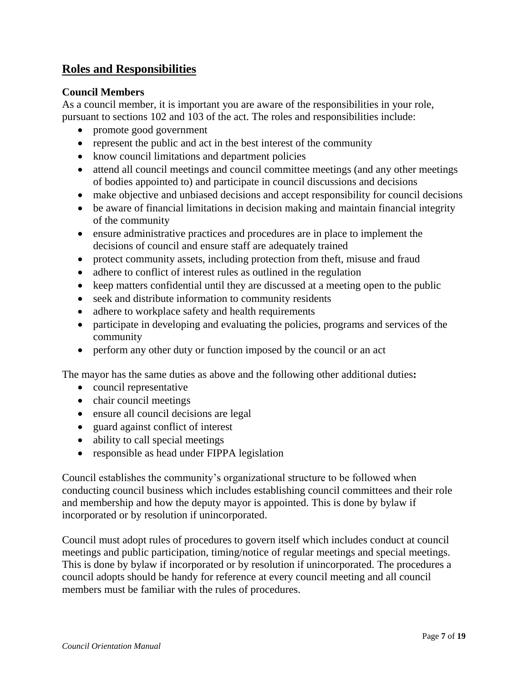## **Roles and Responsibilities**

#### **Council Members**

As a council member, it is important you are aware of the responsibilities in your role, pursuant to sections 102 and 103 of the act. The roles and responsibilities include:

- promote good government
- represent the public and act in the best interest of the community
- know council limitations and department policies
- attend all council meetings and council committee meetings (and any other meetings of bodies appointed to) and participate in council discussions and decisions
- make objective and unbiased decisions and accept responsibility for council decisions
- be aware of financial limitations in decision making and maintain financial integrity of the community
- ensure administrative practices and procedures are in place to implement the decisions of council and ensure staff are adequately trained
- protect community assets, including protection from theft, misuse and fraud
- adhere to conflict of interest rules as outlined in the regulation
- keep matters confidential until they are discussed at a meeting open to the public
- seek and distribute information to community residents
- adhere to workplace safety and health requirements
- participate in developing and evaluating the policies, programs and services of the community
- perform any other duty or function imposed by the council or an act

The mayor has the same duties as above and the following other additional duties**:**

- council representative
- chair council meetings
- ensure all council decisions are legal
- guard against conflict of interest
- ability to call special meetings
- responsible as head under FIPPA legislation

Council establishes the community's organizational structure to be followed when conducting council business which includes establishing council committees and their role and membership and how the deputy mayor is appointed. This is done by bylaw if incorporated or by resolution if unincorporated.

Council must adopt rules of procedures to govern itself which includes conduct at council meetings and public participation, timing/notice of regular meetings and special meetings. This is done by bylaw if incorporated or by resolution if unincorporated. The procedures a council adopts should be handy for reference at every council meeting and all council members must be familiar with the rules of procedures.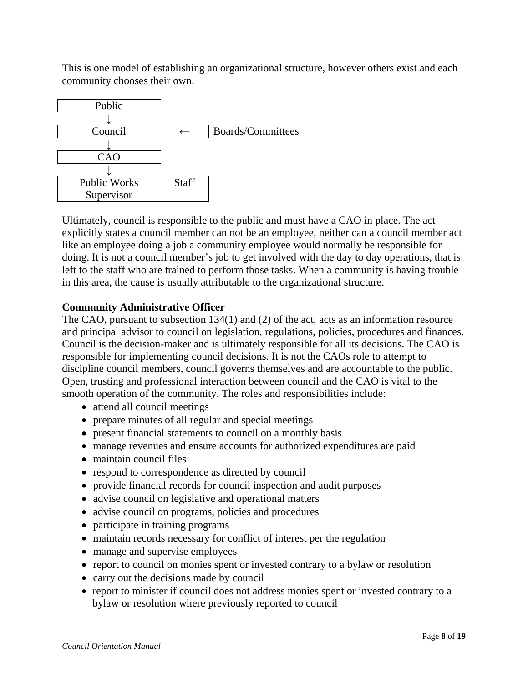This is one model of establishing an organizational structure, however others exist and each community chooses their own.



Ultimately, council is responsible to the public and must have a CAO in place. The act explicitly states a council member can not be an employee, neither can a council member act like an employee doing a job a community employee would normally be responsible for doing. It is not a council member's job to get involved with the day to day operations, that is left to the staff who are trained to perform those tasks. When a community is having trouble in this area, the cause is usually attributable to the organizational structure.

#### **Community Administrative Officer**

The CAO, pursuant to subsection 134(1) and (2) of the act, acts as an information resource and principal advisor to council on legislation, regulations, policies, procedures and finances. Council is the decision-maker and is ultimately responsible for all its decisions. The CAO is responsible for implementing council decisions. It is not the CAOs role to attempt to discipline council members, council governs themselves and are accountable to the public. Open, trusting and professional interaction between council and the CAO is vital to the smooth operation of the community. The roles and responsibilities include:

- attend all council meetings
- prepare minutes of all regular and special meetings
- present financial statements to council on a monthly basis
- manage revenues and ensure accounts for authorized expenditures are paid
- maintain council files
- respond to correspondence as directed by council
- provide financial records for council inspection and audit purposes
- advise council on legislative and operational matters
- advise council on programs, policies and procedures
- participate in training programs
- maintain records necessary for conflict of interest per the regulation
- manage and supervise employees
- report to council on monies spent or invested contrary to a bylaw or resolution
- carry out the decisions made by council
- report to minister if council does not address monies spent or invested contrary to a bylaw or resolution where previously reported to council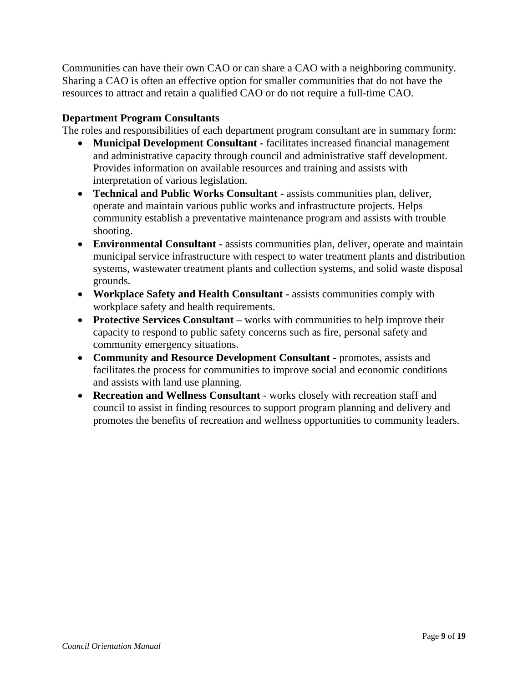Communities can have their own CAO or can share a CAO with a neighboring community. Sharing a CAO is often an effective option for smaller communities that do not have the resources to attract and retain a qualified CAO or do not require a full-time CAO.

#### **Department Program Consultants**

The roles and responsibilities of each department program consultant are in summary form:

- **Municipal Development Consultant -** facilitates increased financial management and administrative capacity through council and administrative staff development. Provides information on available resources and training and assists with interpretation of various legislation.
- **Technical and Public Works Consultant -** assists communities plan, deliver, operate and maintain various public works and infrastructure projects. Helps community establish a preventative maintenance program and assists with trouble shooting.
- **Environmental Consultant -** assists communities plan, deliver, operate and maintain municipal service infrastructure with respect to water treatment plants and distribution systems, wastewater treatment plants and collection systems, and solid waste disposal grounds.
- **Workplace Safety and Health Consultant -** assists communities comply with workplace safety and health requirements.
- **Protective Services Consultant** works with communities to help improve their capacity to respond to public safety concerns such as fire, personal safety and community emergency situations.
- **Community and Resource Development Consultant -** promotes, assists and facilitates the process for communities to improve social and economic conditions and assists with land use planning.
- **Recreation and Wellness Consultant** works closely with recreation staff and council to assist in finding resources to support program planning and delivery and promotes the benefits of recreation and wellness opportunities to community leaders.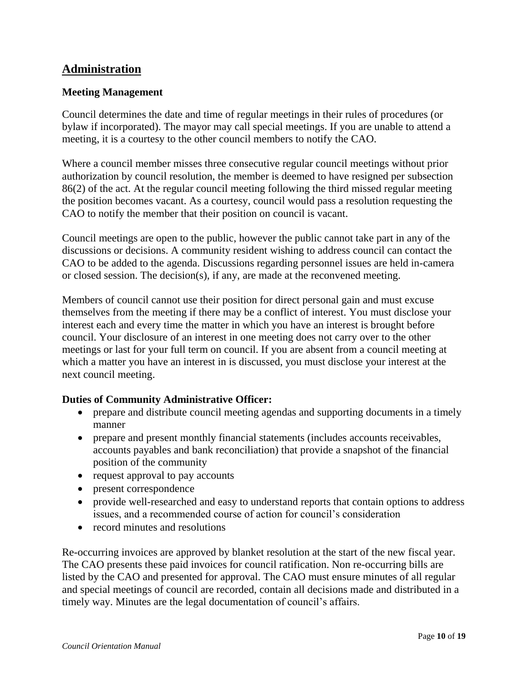### **Administration**

#### **Meeting Management**

Council determines the date and time of regular meetings in their rules of procedures (or bylaw if incorporated). The mayor may call special meetings. If you are unable to attend a meeting, it is a courtesy to the other council members to notify the CAO.

Where a council member misses three consecutive regular council meetings without prior authorization by council resolution, the member is deemed to have resigned per subsection 86(2) of the act. At the regular council meeting following the third missed regular meeting the position becomes vacant. As a courtesy, council would pass a resolution requesting the CAO to notify the member that their position on council is vacant.

Council meetings are open to the public, however the public cannot take part in any of the discussions or decisions. A community resident wishing to address council can contact the CAO to be added to the agenda. Discussions regarding personnel issues are held in-camera or closed session. The decision(s), if any, are made at the reconvened meeting.

Members of council cannot use their position for direct personal gain and must excuse themselves from the meeting if there may be a conflict of interest. You must disclose your interest each and every time the matter in which you have an interest is brought before council. Your disclosure of an interest in one meeting does not carry over to the other meetings or last for your full term on council. If you are absent from a council meeting at which a matter you have an interest in is discussed, you must disclose your interest at the next council meeting.

#### **Duties of Community Administrative Officer:**

- prepare and distribute council meeting agendas and supporting documents in a timely manner
- prepare and present monthly financial statements (includes accounts receivables, accounts payables and bank reconciliation) that provide a snapshot of the financial position of the community
- request approval to pay accounts
- present correspondence
- provide well-researched and easy to understand reports that contain options to address issues, and a recommended course of action for council's consideration
- record minutes and resolutions

Re-occurring invoices are approved by blanket resolution at the start of the new fiscal year. The CAO presents these paid invoices for council ratification. Non re-occurring bills are listed by the CAO and presented for approval. The CAO must ensure minutes of all regular and special meetings of council are recorded, contain all decisions made and distributed in a timely way. Minutes are the legal documentation of council's affairs.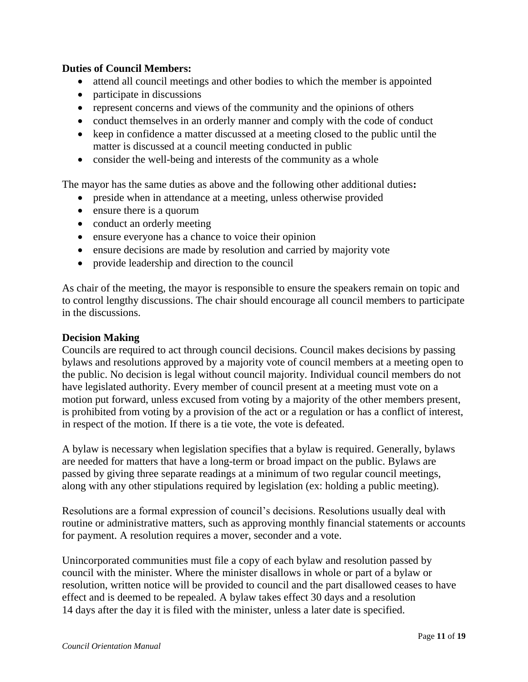#### **Duties of Council Members:**

- attend all council meetings and other bodies to which the member is appointed
- participate in discussions
- represent concerns and views of the community and the opinions of others
- conduct themselves in an orderly manner and comply with the code of conduct
- keep in confidence a matter discussed at a meeting closed to the public until the matter is discussed at a council meeting conducted in public
- consider the well-being and interests of the community as a whole

The mayor has the same duties as above and the following other additional duties**:**

- preside when in attendance at a meeting, unless otherwise provided
- ensure there is a quorum
- conduct an orderly meeting
- ensure everyone has a chance to voice their opinion
- ensure decisions are made by resolution and carried by majority vote
- provide leadership and direction to the council

As chair of the meeting, the mayor is responsible to ensure the speakers remain on topic and to control lengthy discussions. The chair should encourage all council members to participate in the discussions.

#### **Decision Making**

Councils are required to act through council decisions. Council makes decisions by passing bylaws and resolutions approved by a majority vote of council members at a meeting open to the public. No decision is legal without council majority. Individual council members do not have legislated authority. Every member of council present at a meeting must vote on a motion put forward, unless excused from voting by a majority of the other members present, is prohibited from voting by a provision of the act or a regulation or has a conflict of interest, in respect of the motion. If there is a tie vote, the vote is defeated.

A bylaw is necessary when legislation specifies that a bylaw is required. Generally, bylaws are needed for matters that have a long-term or broad impact on the public. Bylaws are passed by giving three separate readings at a minimum of two regular council meetings, along with any other stipulations required by legislation (ex: holding a public meeting).

Resolutions are a formal expression of council's decisions. Resolutions usually deal with routine or administrative matters, such as approving monthly financial statements or accounts for payment. A resolution requires a mover, seconder and a vote.

Unincorporated communities must file a copy of each bylaw and resolution passed by council with the minister. Where the minister disallows in whole or part of a bylaw or resolution, written notice will be provided to council and the part disallowed ceases to have effect and is deemed to be repealed. A bylaw takes effect 30 days and a resolution 14 days after the day it is filed with the minister, unless a later date is specified.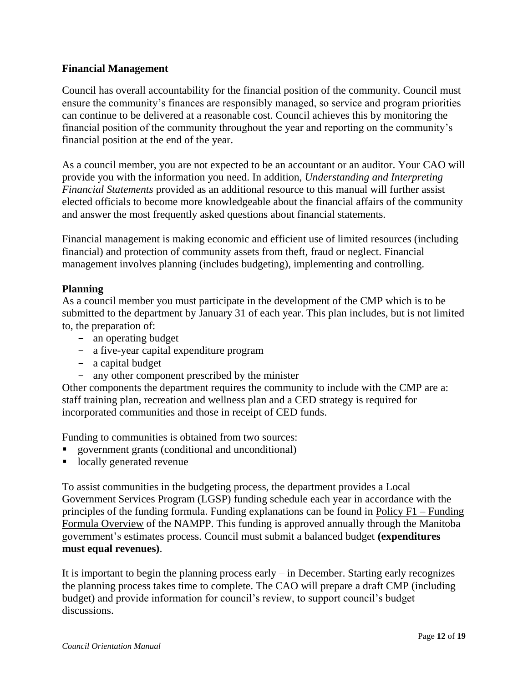#### **Financial Management**

Council has overall accountability for the financial position of the community. Council must ensure the community's finances are responsibly managed, so service and program priorities can continue to be delivered at a reasonable cost. Council achieves this by monitoring the financial position of the community throughout the year and reporting on the community's financial position at the end of the year.

As a council member, you are not expected to be an accountant or an auditor. Your CAO will provide you with the information you need. In addition, *Understanding and Interpreting Financial Statements* provided as an additional resource to this manual will further assist elected officials to become more knowledgeable about the financial affairs of the community and answer the most frequently asked questions about financial statements.

Financial management is making economic and efficient use of limited resources (including financial) and protection of community assets from theft, fraud or neglect. Financial management involves planning (includes budgeting), implementing and controlling.

#### **Planning**

As a council member you must participate in the development of the CMP which is to be submitted to the department by January 31 of each year. This plan includes, but is not limited to, the preparation of:

- an operating budget
- a five-year capital expenditure program
- a capital budget
- any other component prescribed by the minister

Other components the department requires the community to include with the CMP are a: staff training plan, recreation and wellness plan and a CED strategy is required for incorporated communities and those in receipt of CED funds.

Funding to communities is obtained from two sources:

- government grants (conditional and unconditional)
- locally generated revenue

To assist communities in the budgeting process, the department provides a Local Government Services Program (LGSP) funding schedule each year in accordance with the principles of the funding formula. Funding explanations can be found in Policy F1 – Funding Formula Overview of the NAMPP. This funding is approved annually through the Manitoba government's estimates process. Council must submit a balanced budget **(expenditures must equal revenues)**.

It is important to begin the planning process early – in December. Starting early recognizes the planning process takes time to complete. The CAO will prepare a draft CMP (including budget) and provide information for council's review, to support council's budget discussions.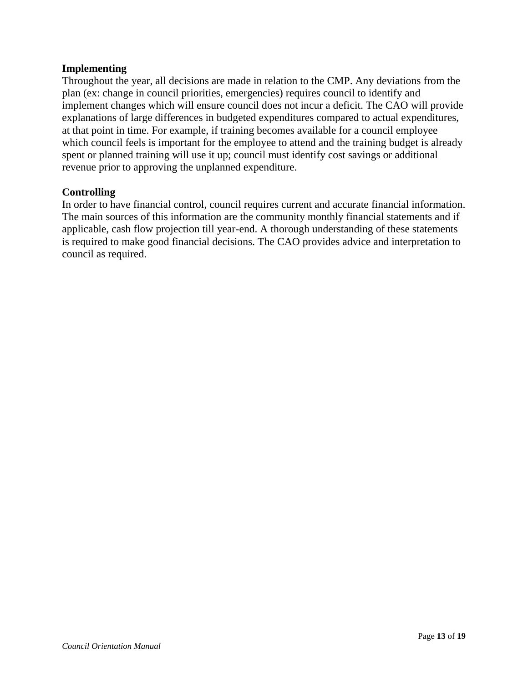#### **Implementing**

Throughout the year, all decisions are made in relation to the CMP. Any deviations from the plan (ex: change in council priorities, emergencies) requires council to identify and implement changes which will ensure council does not incur a deficit. The CAO will provide explanations of large differences in budgeted expenditures compared to actual expenditures, at that point in time. For example, if training becomes available for a council employee which council feels is important for the employee to attend and the training budget is already spent or planned training will use it up; council must identify cost savings or additional revenue prior to approving the unplanned expenditure.

#### **Controlling**

In order to have financial control, council requires current and accurate financial information. The main sources of this information are the community monthly financial statements and if applicable, cash flow projection till year-end. A thorough understanding of these statements is required to make good financial decisions. The CAO provides advice and interpretation to council as required.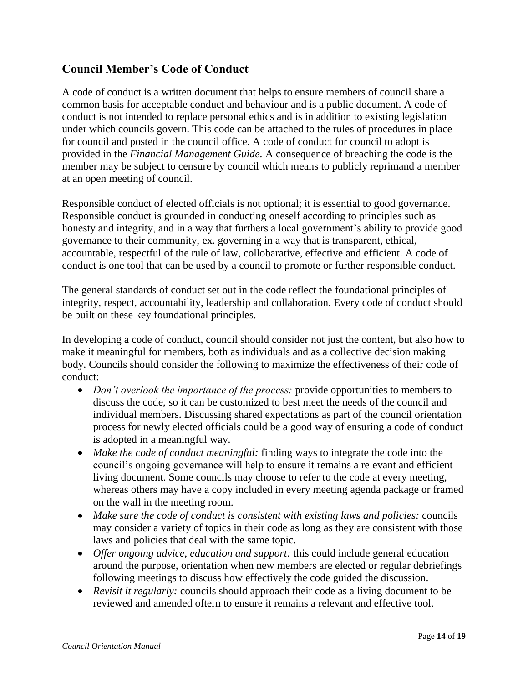## **Council Member's Code of Conduct**

A code of conduct is a written document that helps to ensure members of council share a common basis for acceptable conduct and behaviour and is a public document. A code of conduct is not intended to replace personal ethics and is in addition to existing legislation under which councils govern. This code can be attached to the rules of procedures in place for council and posted in the council office. A code of conduct for council to adopt is provided in the *Financial Management Guide.* A consequence of breaching the code is the member may be subject to censure by council which means to publicly reprimand a member at an open meeting of council.

Responsible conduct of elected officials is not optional; it is essential to good governance. Responsible conduct is grounded in conducting oneself according to principles such as honesty and integrity, and in a way that furthers a local government's ability to provide good governance to their community, ex. governing in a way that is transparent, ethical, accountable, respectful of the rule of law, collobarative, effective and efficient. A code of conduct is one tool that can be used by a council to promote or further responsible conduct.

The general standards of conduct set out in the code reflect the foundational principles of integrity, respect, accountability, leadership and collaboration. Every code of conduct should be built on these key foundational principles.

In developing a code of conduct, council should consider not just the content, but also how to make it meaningful for members, both as individuals and as a collective decision making body. Councils should consider the following to maximize the effectiveness of their code of conduct:

- *Don't overlook the importance of the process:* provide opportunities to members to discuss the code, so it can be customized to best meet the needs of the council and individual members. Discussing shared expectations as part of the council orientation process for newly elected officials could be a good way of ensuring a code of conduct is adopted in a meaningful way.
- *Make the code of conduct meaningful:* finding ways to integrate the code into the council's ongoing governance will help to ensure it remains a relevant and efficient living document. Some councils may choose to refer to the code at every meeting, whereas others may have a copy included in every meeting agenda package or framed on the wall in the meeting room.
- *Make sure the code of conduct is consistent with existing laws and policies:* councils may consider a variety of topics in their code as long as they are consistent with those laws and policies that deal with the same topic.
- *Offer ongoing advice, education and support:* this could include general education around the purpose, orientation when new members are elected or regular debriefings following meetings to discuss how effectively the code guided the discussion.
- *Revisit it regularly:* councils should approach their code as a living document to be reviewed and amended oftern to ensure it remains a relevant and effective tool.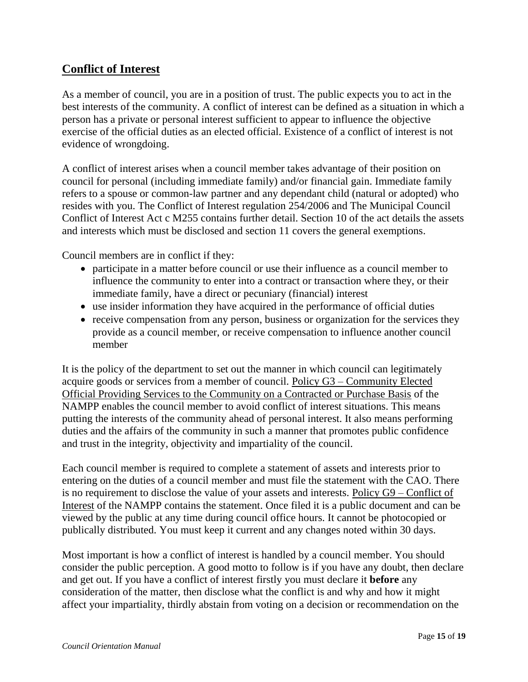## **Conflict of Interest**

As a member of council, you are in a position of trust. The public expects you to act in the best interests of the community. A conflict of interest can be defined as a situation in which a person has a private or personal interest sufficient to appear to influence the objective exercise of the official duties as an elected official. Existence of a conflict of interest is not evidence of wrongdoing.

A conflict of interest arises when a council member takes advantage of their position on council for personal (including immediate family) and/or financial gain. Immediate family refers to a spouse or common-law partner and any dependant child (natural or adopted) who resides with you. The Conflict of Interest regulation 254/2006 and The Municipal Council Conflict of Interest Act c M255 contains further detail. Section 10 of the act details the assets and interests which must be disclosed and section 11 covers the general exemptions.

Council members are in conflict if they:

- participate in a matter before council or use their influence as a council member to influence the community to enter into a contract or transaction where they, or their immediate family, have a direct or pecuniary (financial) interest
- use insider information they have acquired in the performance of official duties
- receive compensation from any person, business or organization for the services they provide as a council member, or receive compensation to influence another council member

It is the policy of the department to set out the manner in which council can legitimately acquire goods or services from a member of council. Policy G3 – Community Elected Official Providing Services to the Community on a Contracted or Purchase Basis of the NAMPP enables the council member to avoid conflict of interest situations. This means putting the interests of the community ahead of personal interest. It also means performing duties and the affairs of the community in such a manner that promotes public confidence and trust in the integrity, objectivity and impartiality of the council.

Each council member is required to complete a statement of assets and interests prior to entering on the duties of a council member and must file the statement with the CAO. There is no requirement to disclose the value of your assets and interests. Policy G9 – Conflict of Interest of the NAMPP contains the statement. Once filed it is a public document and can be viewed by the public at any time during council office hours. It cannot be photocopied or publically distributed. You must keep it current and any changes noted within 30 days.

Most important is how a conflict of interest is handled by a council member. You should consider the public perception. A good motto to follow is if you have any doubt, then declare and get out. If you have a conflict of interest firstly you must declare it **before** any consideration of the matter, then disclose what the conflict is and why and how it might affect your impartiality, thirdly abstain from voting on a decision or recommendation on the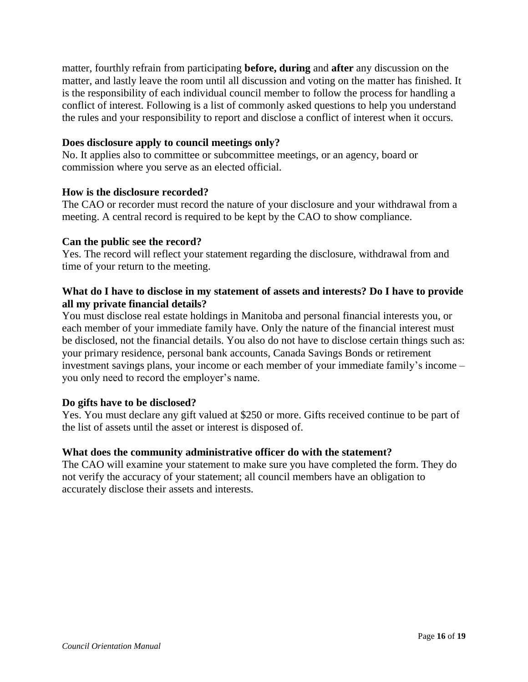matter, fourthly refrain from participating **before, during** and **after** any discussion on the matter, and lastly leave the room until all discussion and voting on the matter has finished. It is the responsibility of each individual council member to follow the process for handling a conflict of interest. Following is a list of commonly asked questions to help you understand the rules and your responsibility to report and disclose a conflict of interest when it occurs.

#### **Does disclosure apply to council meetings only?**

No. It applies also to committee or subcommittee meetings, or an agency, board or commission where you serve as an elected official.

#### **How is the disclosure recorded?**

The CAO or recorder must record the nature of your disclosure and your withdrawal from a meeting. A central record is required to be kept by the CAO to show compliance.

#### **Can the public see the record?**

Yes. The record will reflect your statement regarding the disclosure, withdrawal from and time of your return to the meeting.

#### **What do I have to disclose in my statement of assets and interests? Do I have to provide all my private financial details?**

You must disclose real estate holdings in Manitoba and personal financial interests you, or each member of your immediate family have. Only the nature of the financial interest must be disclosed, not the financial details. You also do not have to disclose certain things such as: your primary residence, personal bank accounts, Canada Savings Bonds or retirement investment savings plans, your income or each member of your immediate family's income – you only need to record the employer's name.

#### **Do gifts have to be disclosed?**

Yes. You must declare any gift valued at \$250 or more. Gifts received continue to be part of the list of assets until the asset or interest is disposed of.

#### **What does the community administrative officer do with the statement?**

The CAO will examine your statement to make sure you have completed the form. They do not verify the accuracy of your statement; all council members have an obligation to accurately disclose their assets and interests.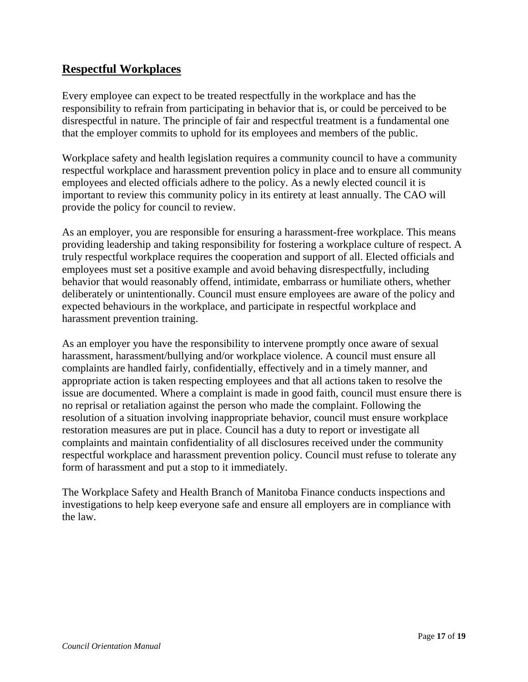## **Respectful Workplaces**

Every employee can expect to be treated respectfully in the workplace and has the responsibility to refrain from participating in behavior that is, or could be perceived to be disrespectful in nature. The principle of fair and respectful treatment is a fundamental one that the employer commits to uphold for its employees and members of the public.

Workplace safety and health legislation requires a community council to have a community respectful workplace and harassment prevention policy in place and to ensure all community employees and elected officials adhere to the policy. As a newly elected council it is important to review this community policy in its entirety at least annually. The CAO will provide the policy for council to review.

As an employer, you are responsible for ensuring a harassment-free workplace. This means providing leadership and taking responsibility for fostering a workplace culture of respect. A truly respectful workplace requires the cooperation and support of all. Elected officials and employees must set a positive example and avoid behaving disrespectfully, including behavior that would reasonably offend, intimidate, embarrass or humiliate others, whether deliberately or unintentionally. Council must ensure employees are aware of the policy and expected behaviours in the workplace, and participate in respectful workplace and harassment prevention training.

As an employer you have the responsibility to intervene promptly once aware of sexual harassment, harassment/bullying and/or workplace violence. A council must ensure all complaints are handled fairly, confidentially, effectively and in a timely manner, and appropriate action is taken respecting employees and that all actions taken to resolve the issue are documented. Where a complaint is made in good faith, council must ensure there is no reprisal or retaliation against the person who made the complaint. Following the resolution of a situation involving inappropriate behavior, council must ensure workplace restoration measures are put in place. Council has a duty to report or investigate all complaints and maintain confidentiality of all disclosures received under the community respectful workplace and harassment prevention policy. Council must refuse to tolerate any form of harassment and put a stop to it immediately.

The Workplace Safety and Health Branch of Manitoba Finance conducts inspections and investigations to help keep everyone safe and ensure all employers are in compliance with the law.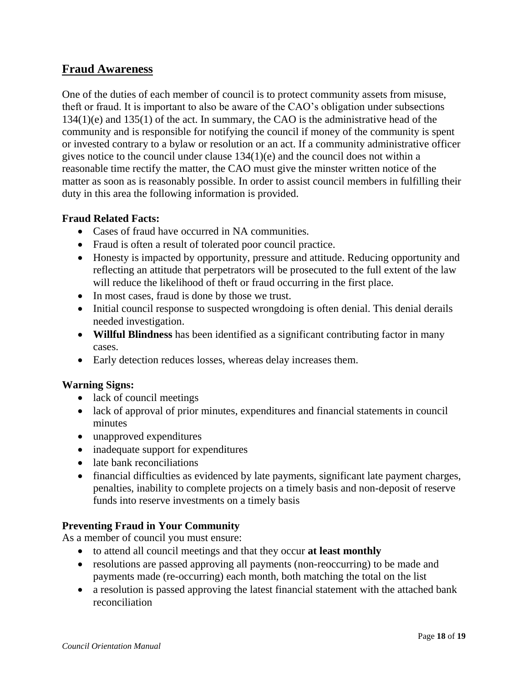## **Fraud Awareness**

One of the duties of each member of council is to protect community assets from misuse, theft or fraud. It is important to also be aware of the CAO's obligation under subsections 134(1)(e) and 135(1) of the act. In summary, the CAO is the administrative head of the community and is responsible for notifying the council if money of the community is spent or invested contrary to a bylaw or resolution or an act. If a community administrative officer gives notice to the council under clause 134(1)(e) and the council does not within a reasonable time rectify the matter, the CAO must give the minster written notice of the matter as soon as is reasonably possible. In order to assist council members in fulfilling their duty in this area the following information is provided.

#### **Fraud Related Facts:**

- Cases of fraud have occurred in NA communities.
- Fraud is often a result of tolerated poor council practice.
- Honesty is impacted by opportunity, pressure and attitude. Reducing opportunity and reflecting an attitude that perpetrators will be prosecuted to the full extent of the law will reduce the likelihood of theft or fraud occurring in the first place.
- In most cases, fraud is done by those we trust.
- Initial council response to suspected wrongdoing is often denial. This denial derails needed investigation.
- **Willful Blindness** has been identified as a significant contributing factor in many cases.
- Early detection reduces losses, whereas delay increases them.

#### **Warning Signs:**

- lack of council meetings
- lack of approval of prior minutes, expenditures and financial statements in council minutes
- unapproved expenditures
- inadequate support for expenditures
- late bank reconciliations
- financial difficulties as evidenced by late payments, significant late payment charges, penalties, inability to complete projects on a timely basis and non-deposit of reserve funds into reserve investments on a timely basis

#### **Preventing Fraud in Your Community**

As a member of council you must ensure:

- to attend all council meetings and that they occur **at least monthly**
- resolutions are passed approving all payments (non-reoccurring) to be made and payments made (re-occurring) each month, both matching the total on the list
- a resolution is passed approving the latest financial statement with the attached bank reconciliation